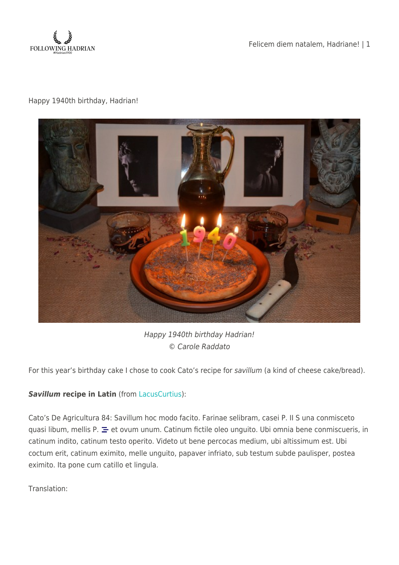

Felicem diem natalem, Hadriane! | 1

## Happy 1940th birthday, Hadrian!



Happy 1940th birthday Hadrian! © Carole Raddato

For this year's birthday cake I chose to cook Cato's recipe for savillum (a kind of cheese cake/bread).

## *Savillum* **recipe in Latin** (from [LacusCurtius](http://penelope.uchicago.edu/Thayer/L/Roman/Texts/Cato/De_Agricultura/E*.html#84)):

Cato's De Agricultura 84: Savillum hoc modo facito. Farinae selibram, casei P. II S una conmisceto quasi libum, mellis P.  $\equiv$  et ovum unum. Catinum fictile oleo unguito. Ubi omnia bene conmiscueris, in catinum indito, catinum testo operito. Videto ut bene percocas medium, ubi altissimum est. Ubi coctum erit, catinum eximito, melle unguito, papaver infriato, sub testum subde paulisper, postea eximito. Ita pone cum catillo et lingula.

Translation: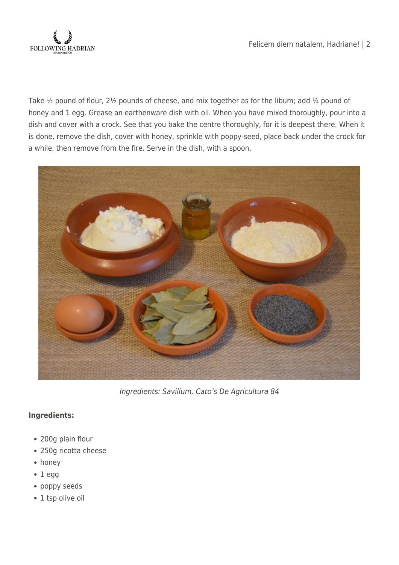

Take  $\frac{1}{2}$  pound of flour, 2 $\frac{1}{2}$  pounds of cheese, and mix together as for the libum; add  $\frac{1}{4}$  pound of honey and 1 egg. Grease an earthenware dish with oil. When you have mixed thoroughly, pour into a dish and cover with a crock. See that you bake the centre thoroughly, for it is deepest there. When it is done, remove the dish, cover with honey, sprinkle with poppy-seed, place back under the crock for a while, then remove from the fire. Serve in the dish, with a spoon.



Ingredients: Savillum, Cato's De Agricultura 84

## **Ingredients:**

- 200g plain flour
- 250g ricotta cheese
- honey
- $1 eqq$
- poppy seeds
- 1 tsp olive oil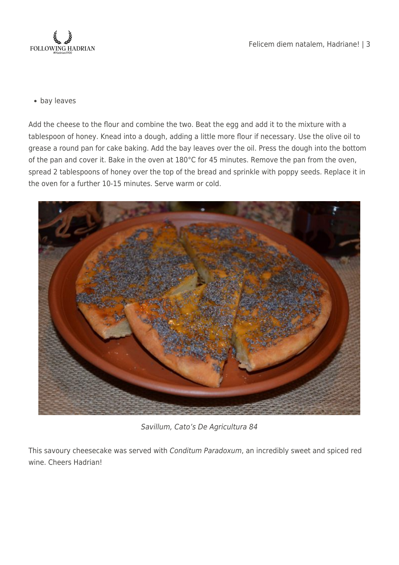

bay leaves

Add the cheese to the flour and combine the two. Beat the egg and add it to the mixture with a tablespoon of honey. Knead into a dough, adding a little more flour if necessary. Use the olive oil to grease a round pan for cake baking. Add the bay leaves over the oil. Press the dough into the bottom of the pan and cover it. Bake in the oven at 180°C for 45 minutes. Remove the pan from the oven, spread 2 tablespoons of honey over the top of the bread and sprinkle with poppy seeds. Replace it in the oven for a further 10-15 minutes. Serve warm or cold.



Savillum, Cato's De Agricultura 84

This savoury cheesecake was served with Conditum Paradoxum, an incredibly sweet and spiced red wine. Cheers Hadrian!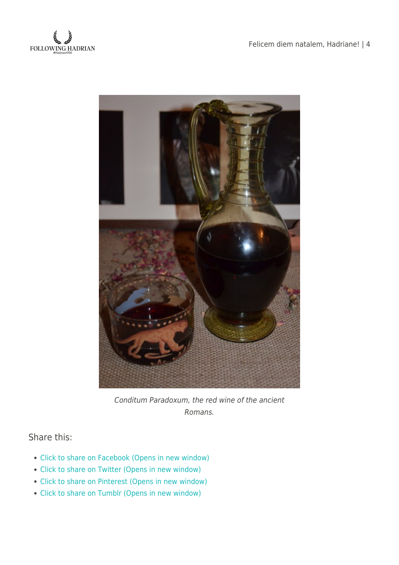

Felicem diem natalem, Hadriane! | 4



Conditum Paradoxum, the red wine of the ancient Romans.

Share this:

- [Click to share on Facebook \(Opens in new window\)](https://followinghadrian.com/2016/01/24/felicem-diem-natalem-hadriane-2/?share=facebook)
- [Click to share on Twitter \(Opens in new window\)](https://followinghadrian.com/2016/01/24/felicem-diem-natalem-hadriane-2/?share=twitter)
- [Click to share on Pinterest \(Opens in new window\)](https://followinghadrian.com/2016/01/24/felicem-diem-natalem-hadriane-2/?share=pinterest)
- [Click to share on Tumblr \(Opens in new window\)](https://followinghadrian.com/2016/01/24/felicem-diem-natalem-hadriane-2/?share=tumblr)